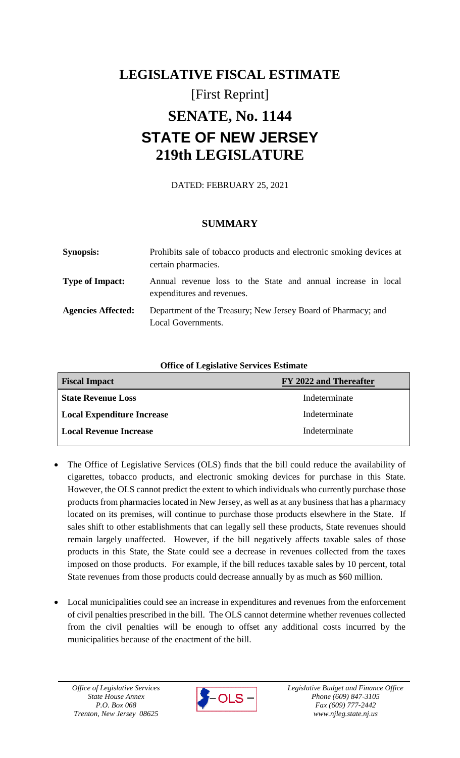# **LEGISLATIVE FISCAL ESTIMATE** [First Reprint] **SENATE, No. 1144 STATE OF NEW JERSEY 219th LEGISLATURE**

DATED: FEBRUARY 25, 2021

## **SUMMARY**

| <b>Synopsis:</b>          | Prohibits sale of tobacco products and electronic smoking devices at<br>certain pharmacies. |
|---------------------------|---------------------------------------------------------------------------------------------|
| <b>Type of Impact:</b>    | Annual revenue loss to the State and annual increase in local<br>expenditures and revenues. |
| <b>Agencies Affected:</b> | Department of the Treasury; New Jersey Board of Pharmacy; and<br>Local Governments.         |

**Office of Legislative Services Estimate**

| <b>Fiscal Impact</b>              | FY 2022 and Thereafter |
|-----------------------------------|------------------------|
| <b>State Revenue Loss</b>         | Indeterminate          |
| <b>Local Expenditure Increase</b> | Indeterminate          |
| <b>Local Revenue Increase</b>     | Indeterminate          |

- The Office of Legislative Services (OLS) finds that the bill could reduce the availability of cigarettes, tobacco products, and electronic smoking devices for purchase in this State. However, the OLS cannot predict the extent to which individuals who currently purchase those products from pharmacies located in New Jersey, as well as at any business that has a pharmacy located on its premises, will continue to purchase those products elsewhere in the State. If sales shift to other establishments that can legally sell these products, State revenues should remain largely unaffected. However, if the bill negatively affects taxable sales of those products in this State, the State could see a decrease in revenues collected from the taxes imposed on those products. For example, if the bill reduces taxable sales by 10 percent, total State revenues from those products could decrease annually by as much as \$60 million.
- Local municipalities could see an increase in expenditures and revenues from the enforcement of civil penalties prescribed in the bill. The OLS cannot determine whether revenues collected from the civil penalties will be enough to offset any additional costs incurred by the municipalities because of the enactment of the bill.

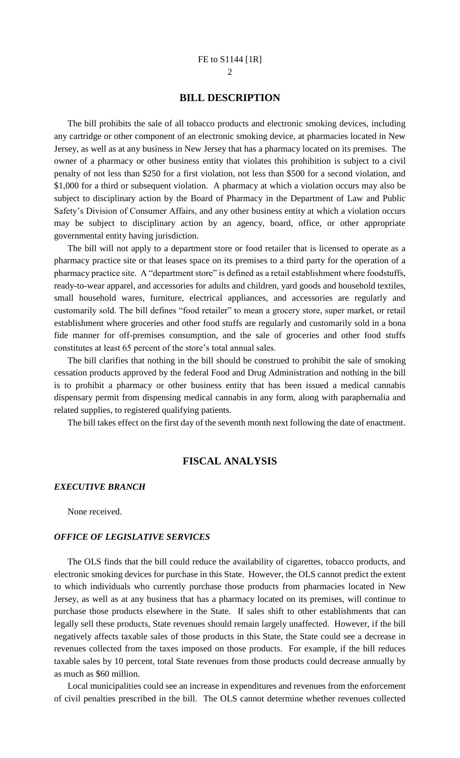### **BILL DESCRIPTION**

The bill prohibits the sale of all tobacco products and electronic smoking devices, including any cartridge or other component of an electronic smoking device, at pharmacies located in New Jersey, as well as at any business in New Jersey that has a pharmacy located on its premises. The owner of a pharmacy or other business entity that violates this prohibition is subject to a civil penalty of not less than \$250 for a first violation, not less than \$500 for a second violation, and \$1,000 for a third or subsequent violation. A pharmacy at which a violation occurs may also be subject to disciplinary action by the Board of Pharmacy in the Department of Law and Public Safety's Division of Consumer Affairs, and any other business entity at which a violation occurs may be subject to disciplinary action by an agency, board, office, or other appropriate governmental entity having jurisdiction.

The bill will not apply to a department store or food retailer that is licensed to operate as a pharmacy practice site or that leases space on its premises to a third party for the operation of a pharmacy practice site. A "department store" is defined as a retail establishment where foodstuffs, ready-to-wear apparel, and accessories for adults and children, yard goods and household textiles, small household wares, furniture, electrical appliances, and accessories are regularly and customarily sold. The bill defines "food retailer" to mean a grocery store, super market, or retail establishment where groceries and other food stuffs are regularly and customarily sold in a bona fide manner for off-premises consumption, and the sale of groceries and other food stuffs constitutes at least 65 percent of the store's total annual sales.

The bill clarifies that nothing in the bill should be construed to prohibit the sale of smoking cessation products approved by the federal Food and Drug Administration and nothing in the bill is to prohibit a pharmacy or other business entity that has been issued a medical cannabis dispensary permit from dispensing medical cannabis in any form, along with paraphernalia and related supplies, to registered qualifying patients.

The bill takes effect on the first day of the seventh month next following the date of enactment.

## **FISCAL ANALYSIS**

#### *EXECUTIVE BRANCH*

None received.

#### *OFFICE OF LEGISLATIVE SERVICES*

The OLS finds that the bill could reduce the availability of cigarettes, tobacco products, and electronic smoking devices for purchase in this State. However, the OLS cannot predict the extent to which individuals who currently purchase those products from pharmacies located in New Jersey, as well as at any business that has a pharmacy located on its premises, will continue to purchase those products elsewhere in the State. If sales shift to other establishments that can legally sell these products, State revenues should remain largely unaffected. However, if the bill negatively affects taxable sales of those products in this State, the State could see a decrease in revenues collected from the taxes imposed on those products. For example, if the bill reduces taxable sales by 10 percent, total State revenues from those products could decrease annually by as much as \$60 million.

Local municipalities could see an increase in expenditures and revenues from the enforcement of civil penalties prescribed in the bill. The OLS cannot determine whether revenues collected